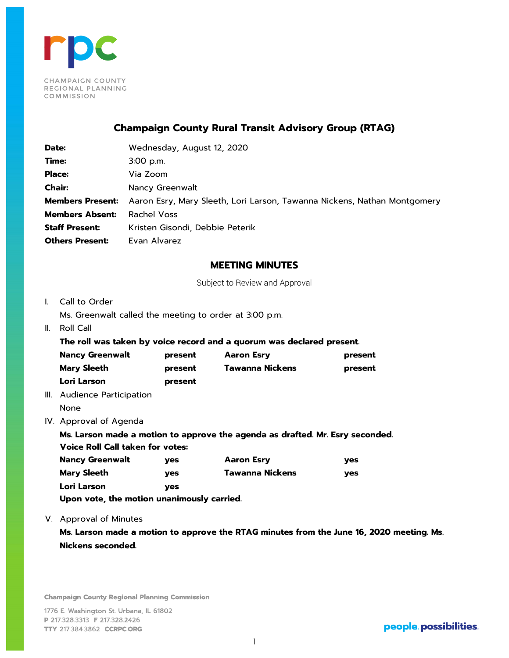

# **Champaign County Rural Transit Advisory Group (RTAG)**

| Date:                  | Wednesday, August 12, 2020                                                                |
|------------------------|-------------------------------------------------------------------------------------------|
| Time:                  | $3:00$ p.m.                                                                               |
| <b>Place:</b>          | Via Zoom                                                                                  |
| <b>Chair:</b>          | Nancy Greenwalt                                                                           |
|                        | Members Present: Aaron Esry, Mary Sleeth, Lori Larson, Tawanna Nickens, Nathan Montgomery |
| <b>Members Absent:</b> | Rachel Voss                                                                               |
| <b>Staff Present:</b>  | Kristen Gisondi, Debbie Peterik                                                           |
| <b>Others Present:</b> | Evan Alvarez                                                                              |

### **MEETING MINUTES**

Subject to Review and Approval

## I. Call to Order

Ms. Greenwalt called the meeting to order at 3:00 p.m.

II. Roll Call

**The roll was taken by voice record and a quorum was declared present.**

| <b>Nancy Greenwalt</b> | present | <b>Aaron Esry</b> | present |
|------------------------|---------|-------------------|---------|
| <b>Mary Sleeth</b>     | present | Tawanna Nickens   | present |
| Lori Larson            | present |                   |         |

- III. Audience Participation
- None
- IV. Approval of Agenda

**Ms. Larson made a motion to approve the agenda as drafted. Mr. Esry seconded. Voice Roll Call taken for votes:**

| <b>Nancy Greenwalt</b> | <b>ves</b> | <b>Aaron Esry</b> | ves |
|------------------------|------------|-------------------|-----|
| <b>Mary Sleeth</b>     | ves        | Tawanna Nickens   | ves |
| Lori Larson            | ves        |                   |     |
| .                      |            |                   |     |

**Upon vote, the motion unanimously carried.**

V. Approval of Minutes

**Ms. Larson made a motion to approve the RTAG minutes from the June 16, 2020 meeting. Ms. Nickens seconded.**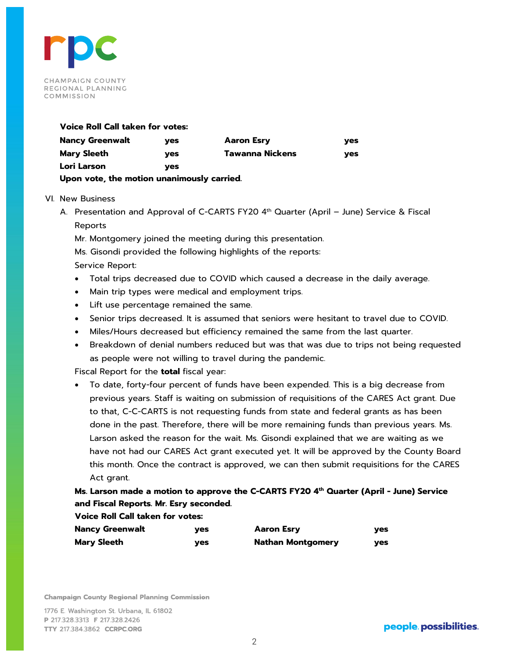

#### **Voice Roll Call taken for votes:**

| Nancy Greenwalt                            | ves | <b>Aaron Esry</b> | ves |
|--------------------------------------------|-----|-------------------|-----|
| Mary Sleeth                                | ves | Tawanna Nickens   | ves |
| Lori Larson                                | ves |                   |     |
| Upon vote, the motion unanimously carried. |     |                   |     |

#### VI. New Business

- A. Presentation and Approval of C-CARTS FY20 4<sup>th</sup> Quarter (April June) Service & Fiscal Reports
	- Mr. Montgomery joined the meeting during this presentation.
	- Ms. Gisondi provided the following highlights of the reports:

Service Report:

- Total trips decreased due to COVID which caused a decrease in the daily average.
- Main trip types were medical and employment trips.
- Lift use percentage remained the same.
- Senior trips decreased. It is assumed that seniors were hesitant to travel due to COVID.
- Miles/Hours decreased but efficiency remained the same from the last quarter.
- Breakdown of denial numbers reduced but was that was due to trips not being requested as people were not willing to travel during the pandemic.

Fiscal Report for the **total** fiscal year:

• To date, forty-four percent of funds have been expended. This is a big decrease from previous years. Staff is waiting on submission of requisitions of the CARES Act grant. Due to that, C-C-CARTS is not requesting funds from state and federal grants as has been done in the past. Therefore, there will be more remaining funds than previous years. Ms. Larson asked the reason for the wait. Ms. Gisondi explained that we are waiting as we have not had our CARES Act grant executed yet. It will be approved by the County Board this month. Once the contract is approved, we can then submit requisitions for the CARES Act grant.

# **Ms. Larson made a motion to approve the C-CARTS FY20 4th Quarter (April - June) Service and Fiscal Reports. Mr. Esry seconded.**

## **Voice Roll Call taken for votes:**

| Nancy Greenwalt | ves | <b>Aaron Esry</b>        | ves |
|-----------------|-----|--------------------------|-----|
| Mary Sleeth     | ves | <b>Nathan Montgomery</b> | yes |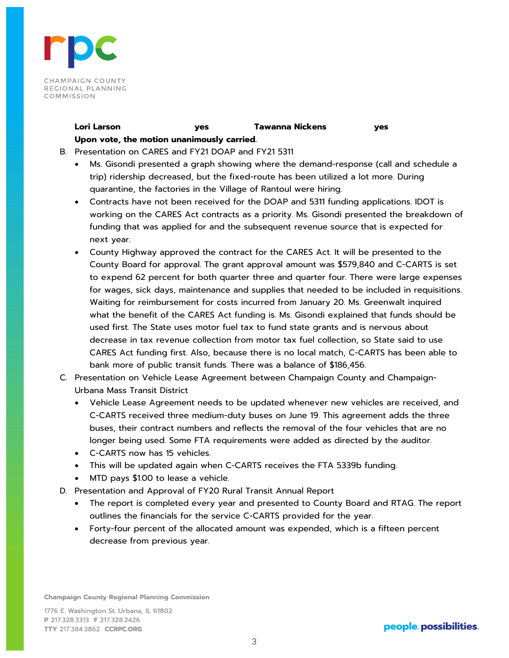

### **Lori Larson yes Tawanna Nickens yes Upon vote, the motion unanimously carried.**

- B. Presentation on CARES and FY21 DOAP and FY21 5311
	- Ms. Gisondi presented a graph showing where the demand-response (call and schedule a trip) ridership decreased, but the fixed-route has been utilized a lot more. During quarantine, the factories in the Village of Rantoul were hiring.
	- Contracts have not been received for the DOAP and 5311 funding applications. IDOT is working on the CARES Act contracts as a priority. Ms. Gisondi presented the breakdown of funding that was applied for and the subsequent revenue source that is expected for next year.
	- County Highway approved the contract for the CARES Act. It will be presented to the County Board for approval. The grant approval amount was \$579,840 and C-CARTS is set to expend 62 percent for both quarter three and quarter four. There were large expenses for wages, sick days, maintenance and supplies that needed to be included in requisitions. Waiting for reimbursement for costs incurred from January 20. Ms. Greenwalt inquired what the benefit of the CARES Act funding is. Ms. Gisondi explained that funds should be used first. The State uses motor fuel tax to fund state grants and is nervous about decrease in tax revenue collection from motor tax fuel collection, so State said to use CARES Act funding first. Also, because there is no local match, C-CARTS has been able to bank more of public transit funds. There was a balance of \$186,456.
- C. Presentation on Vehicle Lease Agreement between Champaign County and Champaign-Urbana Mass Transit District
	- Vehicle Lease Agreement needs to be updated whenever new vehicles are received, and C-CARTS received three medium-duty buses on June 19. This agreement adds the three buses, their contract numbers and reflects the removal of the four vehicles that are no longer being used. Some FTA requirements were added as directed by the auditor.
	- C-CARTS now has 15 vehicles.
	- This will be updated again when C-CARTS receives the FTA 5339b funding.
	- MTD pays \$1.00 to lease a vehicle.
- D. Presentation and Approval of FY20 Rural Transit Annual Report
	- The report is completed every year and presented to County Board and RTAG. The report outlines the financials for the service C-CARTS provided for the year.
	- Forty-four percent of the allocated amount was expended, which is a fifteen percent decrease from previous year.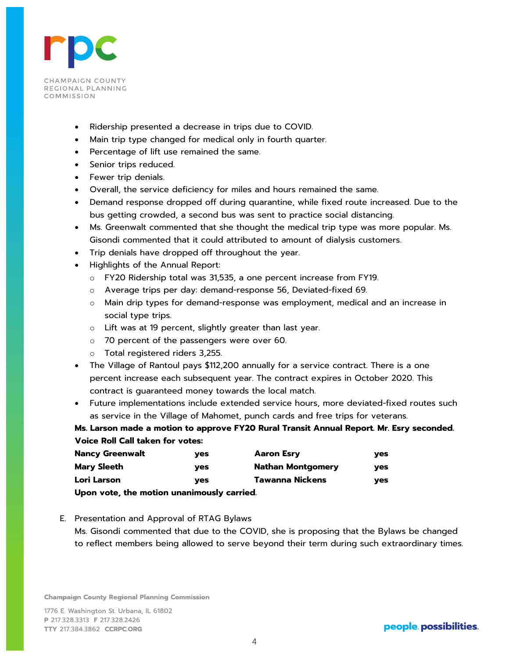

- Ridership presented a decrease in trips due to COVID.
- Main trip type changed for medical only in fourth quarter.
- Percentage of lift use remained the same.
- Senior trips reduced.
- Fewer trip denials.
- Overall, the service deficiency for miles and hours remained the same.
- Demand response dropped off during quarantine, while fixed route increased. Due to the bus getting crowded, a second bus was sent to practice social distancing.
- Ms. Greenwalt commented that she thought the medical trip type was more popular. Ms. Gisondi commented that it could attributed to amount of dialysis customers.
- Trip denials have dropped off throughout the year.
- Highlights of the Annual Report:
	- o FY20 Ridership total was 31,535, a one percent increase from FY19.
	- o Average trips per day: demand-response 56, Deviated-fixed 69.
	- o Main drip types for demand-response was employment, medical and an increase in social type trips.
	- o Lift was at 19 percent, slightly greater than last year.
	- o 70 percent of the passengers were over 60.
	- o Total registered riders 3,255.
- The Village of Rantoul pays \$112,200 annually for a service contract. There is a one percent increase each subsequent year. The contract expires in October 2020. This contract is guaranteed money towards the local match.
- Future implementations include extended service hours, more deviated-fixed routes such as service in the Village of Mahomet, punch cards and free trips for veterans.

**Ms. Larson made a motion to approve FY20 Rural Transit Annual Report. Mr. Esry seconded. Voice Roll Call taken for votes:**

| <b>Nancy Greenwalt</b>                     | ves | <b>Aaron Esry</b>        | ves |
|--------------------------------------------|-----|--------------------------|-----|
| Mary Sleeth                                | ves | <b>Nathan Montgomery</b> | ves |
| Lori Larson                                | ves | Tawanna Nickens          | yes |
| Upon vote, the motion unanimously carried. |     |                          |     |

E. Presentation and Approval of RTAG Bylaws

Ms. Gisondi commented that due to the COVID, she is proposing that the Bylaws be changed to reflect members being allowed to serve beyond their term during such extraordinary times.